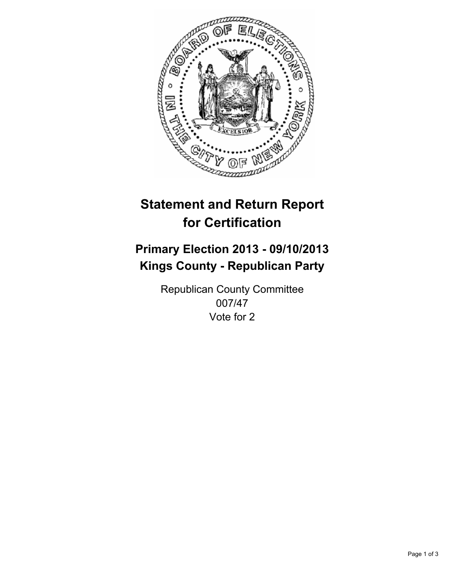

# **Statement and Return Report for Certification**

## **Primary Election 2013 - 09/10/2013 Kings County - Republican Party**

Republican County Committee 007/47 Vote for 2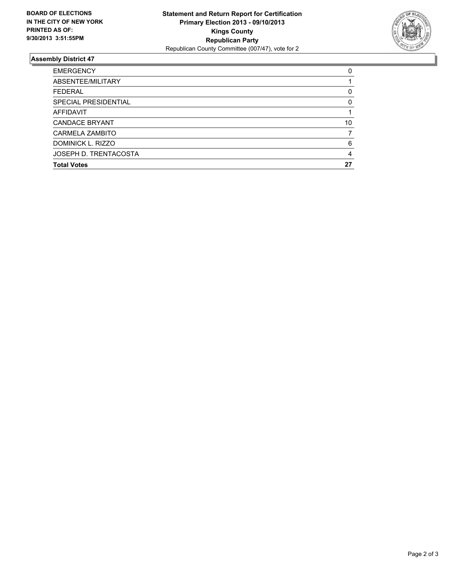

### **Assembly District 47**

| <b>EMERGENCY</b>      | 0        |
|-----------------------|----------|
| ABSENTEE/MILITARY     |          |
| <b>FEDERAL</b>        | 0        |
| SPECIAL PRESIDENTIAL  | $\Omega$ |
| <b>AFFIDAVIT</b>      |          |
| <b>CANDACE BRYANT</b> | 10       |
| CARMELA ZAMBITO       |          |
| DOMINICK L. RIZZO     | 6        |
| JOSEPH D. TRENTACOSTA | 4        |
| <b>Total Votes</b>    | 27       |
|                       |          |